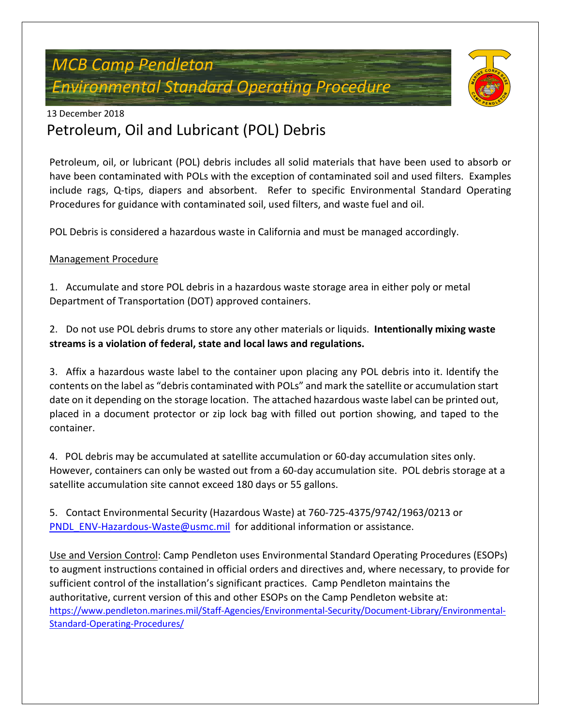## *MCB Camp Pendleton Environmental Standard Operating Procedure*



#### 13 December 2018

### Petroleum, Oil and Lubricant (POL) Debris

Petroleum, oil, or lubricant (POL) debris includes all solid materials that have been used to absorb or have been contaminated with POLs with the exception of contaminated soil and used filters. Examples include rags, Q-tips, diapers and absorbent. Refer to specific Environmental Standard Operating Procedures for guidance with contaminated soil, used filters, and waste fuel and oil.

POL Debris is considered a hazardous waste in California and must be managed accordingly.

#### Management Procedure

1. Accumulate and store POL debris in a hazardous waste storage area in either poly or metal Department of Transportation (DOT) approved containers.

2. Do not use POL debris drums to store any other materials or liquids. **Intentionally mixing waste streams is a violation of federal, state and local laws and regulations.**

3. Affix a hazardous waste label to the container upon placing any POL debris into it. Identify the contents on the label as "debris contaminated with POLs" and mark the satellite or accumulation start date on it depending on the storage location. The attached hazardous waste label can be printed out, placed in a document protector or zip lock bag with filled out portion showing, and taped to the container.

4. POL debris may be accumulated at satellite accumulation or 60-day accumulation sites only. However, containers can only be wasted out from a 60-day accumulation site. POL debris storage at a satellite accumulation site cannot exceed 180 days or 55 gallons.

5. Contact Environmental Security (Hazardous Waste) at 760-725-4375/9742/1963/0213 or [PNDL\\_ENV-Hazardous-Waste@usmc.mil](mailto:PNDL_ENV-Hazardous-Waste@usmc.mil) for additional information or assistance.

Use and Version Control: Camp Pendleton uses Environmental Standard Operating Procedures (ESOPs) to augment instructions contained in official orders and directives and, where necessary, to provide for sufficient control of the installation's significant practices. Camp Pendleton maintains the authoritative, current version of this and other ESOPs on the Camp Pendleton website at: https://www.pendleton.marines.mil/Staff-Agencies/Environmental-Security/Document-Library/Environmental-Standard-Operating-Procedures/